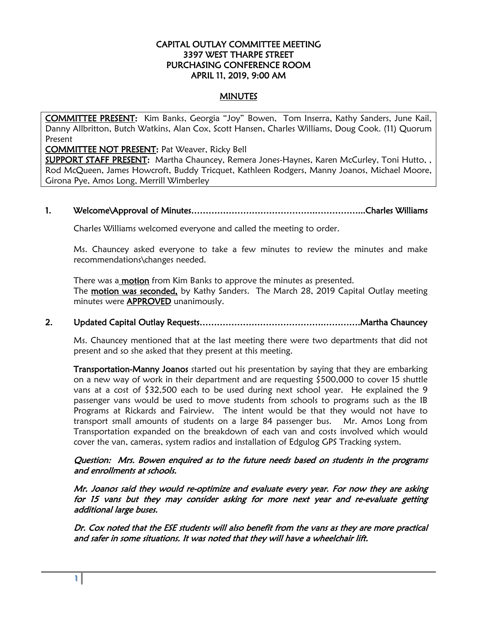### CAPITAL OUTLAY COMMITTEE MEETING 3397 WEST THARPE STREET PURCHASING CONFERENCE ROOM APRIL 11, 2019, 9:00 AM

# **MINUTES**

COMMITTEE PRESENT: Kim Banks, Georgia "Joy" Bowen, Tom Inserra, Kathy Sanders, June Kail, Danny Allbritton, Butch Watkins, Alan Cox, Scott Hansen, Charles Williams, Doug Cook. (11) Quorum Present

COMMITTEE NOT PRESENT: Pat Weaver, Ricky Bell

SUPPORT STAFF PRESENT: Martha Chauncey, Remera Jones-Haynes, Karen McCurley, Toni Hutto, , Rod McQueen, James Howcroft, Buddy Tricquet, Kathleen Rodgers, Manny Joanos, Michael Moore, Girona Pye, Amos Long, Merrill Wimberley

## 1. Welcome\Approval of Minutes…………………………………….……………...Charles Williams

Charles Williams welcomed everyone and called the meeting to order.

Ms. Chauncey asked everyone to take a few minutes to review the minutes and make recommendations\changes needed.

There was a **motion** from Kim Banks to approve the minutes as presented. The motion was seconded, by Kathy Sanders. The March 28, 2019 Capital Outlay meeting minutes were **APPROVED** unanimously.

# 2. Updated Capital Outlay Requests…………………………………….………….Martha Chauncey

 Ms. Chauncey mentioned that at the last meeting there were two departments that did not present and so she asked that they present at this meeting.

**Transportation-Manny Joanos** started out his presentation by saying that they are embarking on a new way of work in their department and are requesting \$500,000 to cover 15 shuttle vans at a cost of \$32,500 each to be used during next school year. He explained the 9 passenger vans would be used to move students from schools to programs such as the IB Programs at Rickards and Fairview. The intent would be that they would not have to transport small amounts of students on a large 84 passenger bus. Mr. Amos Long from Transportation expanded on the breakdown of each van and costs involved which would cover the van, cameras, system radios and installation of Edgulog GPS Tracking system.

#### Question: Mrs. Bowen enquired as to the future needs based on students in the programs and enrollments at schools.

Mr. Joanos said they would re-optimize and evaluate every year. For now they are asking for 15 vans but they may consider asking for more next year and re-evaluate getting additional large buses.

Dr. Cox noted that the ESE students will also benefit from the vans as they are more practical and safer in some situations. It was noted that they will have a wheelchair lift.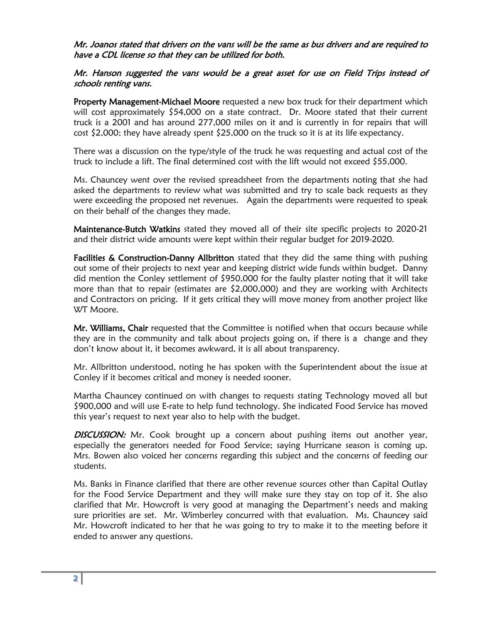### Mr. Joanos stated that drivers on the vans will be the same as bus drivers and are required to have a CDL license so that they can be utilized for both.

# Mr. Hanson suggested the vans would be a great asset for use on Field Trips instead of schools renting vans.

Property Management-Michael Moore requested a new box truck for their department which will cost approximately \$54,000 on a state contract. Dr. Moore stated that their current truck is a 2001 and has around 277,000 miles on it and is currently in for repairs that will  $cost$  \$2,000; they have already spent  $$25,000$  on the truck so it is at its life expectancy.

There was a discussion on the type/style of the truck he was requesting and actual cost of the truck to include a lift. The final determined cost with the lift would not exceed \$55,000.

Ms. Chauncey went over the revised spreadsheet from the departments noting that she had asked the departments to review what was submitted and try to scale back requests as they were exceeding the proposed net revenues. Again the departments were requested to speak on their behalf of the changes they made.

Maintenance-Butch Watkins stated they moved all of their site specific projects to 2020-21 and their district wide amounts were kept within their regular budget for 2019-2020.

Facilities & Construction-Danny Allbritton stated that they did the same thing with pushing out some of their projects to next year and keeping district wide funds within budget. Danny did mention the Conley settlement of \$950,000 for the faulty plaster noting that it will take more than that to repair (estimates are \$2,000,000) and they are working with Architects and Contractors on pricing. If it gets critical they will move money from another project like WT Moore.

Mr. Williams, Chair requested that the Committee is notified when that occurs because while they are in the community and talk about projects going on, if there is a change and they don't know about it, it becomes awkward, it is all about transparency.

Mr. Allbritton understood, noting he has spoken with the Superintendent about the issue at Conley if it becomes critical and money is needed sooner.

Martha Chauncey continued on with changes to requests stating Technology moved all but \$900,000 and will use E-rate to help fund technology. She indicated Food Service has moved this year's request to next year also to help with the budget.

**DISCUSSION:** Mr. Cook brought up a concern about pushing items out another year, especially the generators needed for Food Service; saying Hurricane season is coming up. Mrs. Bowen also voiced her concerns regarding this subject and the concerns of feeding our students.

Ms. Banks in Finance clarified that there are other revenue sources other than Capital Outlay for the Food Service Department and they will make sure they stay on top of it. She also clarified that Mr. Howcroft is very good at managing the Department's needs and making sure priorities are set. Mr. Wimberley concurred with that evaluation. Ms. Chauncey said Mr. Howcroft indicated to her that he was going to try to make it to the meeting before it ended to answer any questions.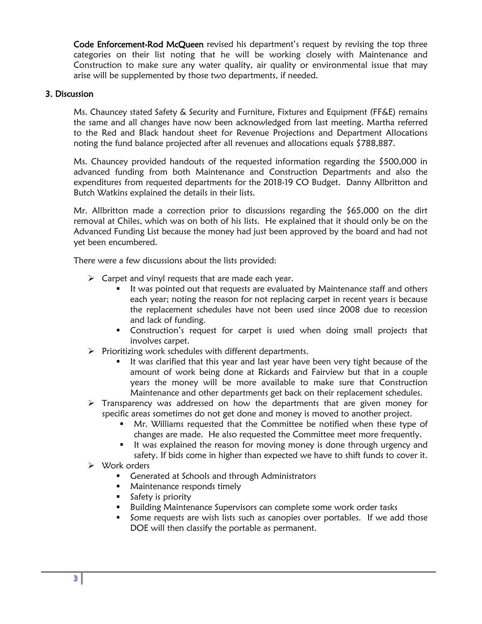Code Enforcement-Rod McQueen revised his department's request by revising the top three categories on their list noting that he will be working closely with Maintenance and Construction to make sure any water quality, air quality or environmental issue that may arise will be supplemented by those two departments, if needed.

## 3. Discussion

Ms. Chauncey stated Safety & Security and Furniture, Fixtures and Equipment (FF&E) remains the same and all changes have now been acknowledged from last meeting. Martha referred to the Red and Black handout sheet for Revenue Projections and Department Allocations noting the fund balance projected after all revenues and allocations equals \$788,887.

Ms. Chauncey provided handouts of the requested information regarding the \$500,000 in advanced funding from both Maintenance and Construction Departments and also the expenditures from requested departments for the 2018-19 CO Budget. Danny Allbritton and Butch Watkins explained the details in their lists.

Mr. Allbritton made a correction prior to discussions regarding the \$65,000 on the dirt removal at Chiles, which was on both of his lists. He explained that it should only be on the Advanced Funding List because the money had just been approved by the board and had not yet been encumbered.

There were a few discussions about the lists provided:

- $\triangleright$  Carpet and vinyl requests that are made each year.
	- It was pointed out that requests are evaluated by Maintenance staff and others each year; noting the reason for not replacing carpet in recent years is because the replacement schedules have not been used since 2008 due to recession and lack of funding.
	- **Construction's request for carpet is used when doing small projects that** involves carpet.
- $\triangleright$  Prioritizing work schedules with different departments.
	- It was clarified that this year and last year have been very tight because of the amount of work being done at Rickards and Fairview but that in a couple years the money will be more available to make sure that Construction Maintenance and other departments get back on their replacement schedules.
- $\triangleright$  Transparency was addressed on how the departments that are given money for specific areas sometimes do not get done and money is moved to another project.
	- Mr. Williams requested that the Committee be notified when these type of changes are made. He also requested the Committee meet more frequently.
	- It was explained the reason for moving money is done through urgency and safety. If bids come in higher than expected we have to shift funds to cover it.
- Work orders
	- **Generated at Schools and through Administrators**
	- **Maintenance responds timely**
	- **Safety is priority**
	- **Building Maintenance Supervisors can complete some work order tasks**
	- Some requests are wish lists such as canopies over portables. If we add those DOE will then classify the portable as permanent.